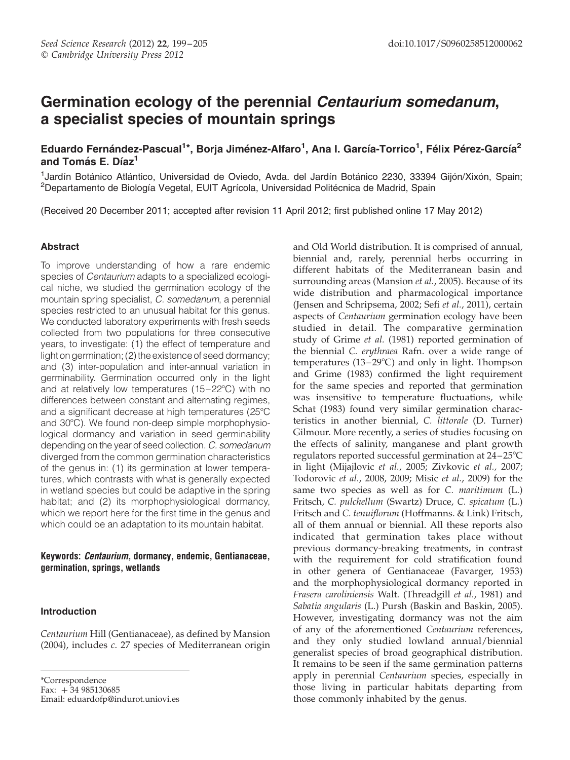# Germination ecology of the perennial Centaurium somedanum, a specialist species of mountain springs

# Eduardo Fernández-Pascual<sup>1\*</sup>, Borja Jiménez-Alfaro<sup>1</sup>, Ana I. García-Torrico<sup>1</sup>, Félix Pérez-García<sup>2</sup> and Tomás E. Díaz $<sup>1</sup>$ </sup>

<sup>1</sup>Jardín Botánico Atlántico, Universidad de Oviedo, Avda. del Jardín Botánico 2230, 33394 Gijón/Xixón, Spain; <sup>2</sup>Departamento de Biología Vegetal, EUIT Agrícola, Universidad Politécnica de Madrid, Spain

(Received 20 December 2011; accepted after revision 11 April 2012; first published online 17 May 2012)

# **Abstract**

To improve understanding of how a rare endemic species of Centaurium adapts to a specialized ecological niche, we studied the germination ecology of the mountain spring specialist, C. somedanum, a perennial species restricted to an unusual habitat for this genus. We conducted laboratory experiments with fresh seeds collected from two populations for three consecutive years, to investigate: (1) the effect of temperature and light on germination;(2) the existence of seed dormancy; and (3) inter-population and inter-annual variation in germinability. Germination occurred only in the light and at relatively low temperatures  $(15-22^{\circ}C)$  with no differences between constant and alternating regimes, and a significant decrease at high temperatures (25°C and 30°C). We found non-deep simple morphophysiological dormancy and variation in seed germinability depending on the year of seed collection. C. somedanum diverged from the common germination characteristics of the genus in: (1) its germination at lower temperatures, which contrasts with what is generally expected in wetland species but could be adaptive in the spring habitat; and (2) its morphophysiological dormancy, which we report here for the first time in the genus and which could be an adaptation to its mountain habitat.

# Keywords: Centaurium, dormancy, endemic, Gentianaceae, germination, springs, wetlands

## Introduction

Centaurium Hill (Gentianaceae), as defined by Mansion (2004), includes c. 27 species of Mediterranean origin

\*Correspondence Fax:  $+\overline{3}4\,985130685$ Email: eduardofp@indurot.uniovi.es and Old World distribution. It is comprised of annual, biennial and, rarely, perennial herbs occurring in different habitats of the Mediterranean basin and surrounding areas (Mansion et al., 2005). Because of its wide distribution and pharmacological importance (Jensen and Schripsema, 2002; Sefi et al., 2011), certain aspects of Centaurium germination ecology have been studied in detail. The comparative germination study of Grime et al. (1981) reported germination of the biennial C. erythraea Rafn. over a wide range of  $temperatures$  (13–29 $°C$ ) and only in light. Thompson and Grime (1983) confirmed the light requirement for the same species and reported that germination was insensitive to temperature fluctuations, while Schat (1983) found very similar germination characteristics in another biennial, C. littorale (D. Turner) Gilmour. More recently, a series of studies focusing on the effects of salinity, manganese and plant growth regulators reported successful germination at  $24-25^{\circ}C$ in light (Mijajlovic et al., 2005; Zivkovic et al., 2007; Todorovic et al., 2008, 2009; Misic et al., 2009) for the same two species as well as for C. maritimum (L.) Fritsch, C. pulchellum (Swartz) Druce, C. spicatum (L.) Fritsch and C. tenuiflorum (Hoffmanns. & Link) Fritsch, all of them annual or biennial. All these reports also indicated that germination takes place without previous dormancy-breaking treatments, in contrast with the requirement for cold stratification found in other genera of Gentianaceae (Favarger, 1953) and the morphophysiological dormancy reported in Frasera caroliniensis Walt. (Threadgill et al., 1981) and Sabatia angularis (L.) Pursh (Baskin and Baskin, 2005). However, investigating dormancy was not the aim of any of the aforementioned Centaurium references, and they only studied lowland annual/biennial generalist species of broad geographical distribution. It remains to be seen if the same germination patterns apply in perennial Centaurium species, especially in those living in particular habitats departing from those commonly inhabited by the genus.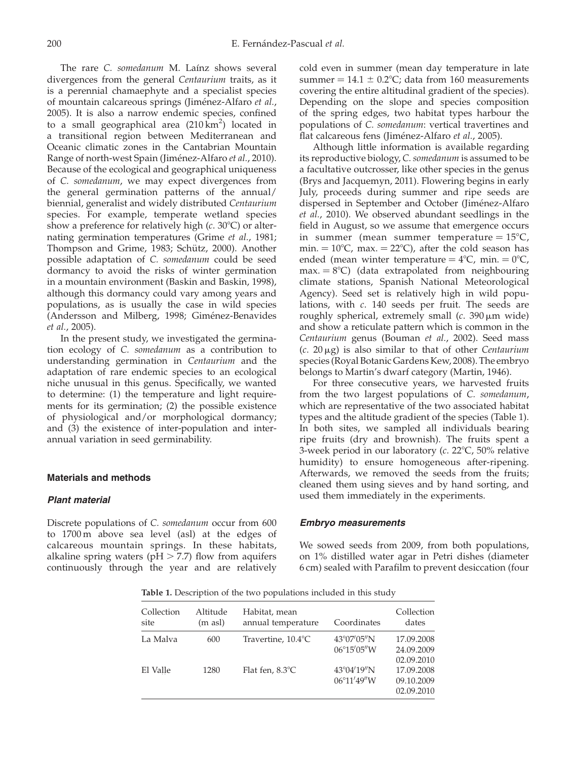The rare C. somedanum M. Laínz shows several divergences from the general Centaurium traits, as it is a perennial chamaephyte and a specialist species of mountain calcareous springs (Jiménez-Alfaro et al., 2005). It is also a narrow endemic species, confined to a small geographical area  $(210 \text{ km}^2)$  located in a transitional region between Mediterranean and Oceanic climatic zones in the Cantabrian Mountain Range of north-west Spain (Jiménez-Alfaro et al., 2010). Because of the ecological and geographical uniqueness of C. somedanum, we may expect divergences from the general germination patterns of the annual/ biennial, generalist and widely distributed Centaurium species. For example, temperate wetland species show a preference for relatively high  $(c. 30^{\circ}C)$  or alternating germination temperatures (Grime et al., 1981; Thompson and Grime, 1983; Schütz, 2000). Another possible adaptation of C. somedanum could be seed dormancy to avoid the risks of winter germination in a mountain environment (Baskin and Baskin, 1998), although this dormancy could vary among years and populations, as is usually the case in wild species (Andersson and Milberg, 1998; Giménez-Benavides et al., 2005).

In the present study, we investigated the germination ecology of C. somedanum as a contribution to understanding germination in Centaurium and the adaptation of rare endemic species to an ecological niche unusual in this genus. Specifically, we wanted to determine: (1) the temperature and light requirements for its germination; (2) the possible existence of physiological and/or morphological dormancy; and (3) the existence of inter-population and interannual variation in seed germinability.

## Materials and methods

## Plant material

Discrete populations of C. somedanum occur from 600 to 1700 m above sea level (asl) at the edges of calcareous mountain springs. In these habitats, alkaline spring waters ( $pH > 7.7$ ) flow from aquifers continuously through the year and are relatively cold even in summer (mean day temperature in late summer =  $14.1 \pm 0.2$ °C; data from 160 measurements covering the entire altitudinal gradient of the species). Depending on the slope and species composition of the spring edges, two habitat types harbour the populations of C. somedanum: vertical travertines and flat calcareous fens (Jiménez-Alfaro et al., 2005).

Although little information is available regarding its reproductive biology, C. somedanum is assumed to be a facultative outcrosser, like other species in the genus (Brys and Jacquemyn, 2011). Flowering begins in early July, proceeds during summer and ripe seeds are dispersed in September and October (Jiménez-Alfaro et al., 2010). We observed abundant seedlings in the field in August, so we assume that emergence occurs in summer (mean summer temperature =  $15^{\circ}$ C, min.  $= 10^{\circ}$ C, max.  $= 22^{\circ}$ C), after the cold season has ended (mean winter temperature =  $4^{\circ}C$ , min. =  $0^{\circ}C$ ,  $max. = 8^{\circ}C$ ) (data extrapolated from neighbouring climate stations, Spanish National Meteorological Agency). Seed set is relatively high in wild populations, with c. 140 seeds per fruit. The seeds are roughly spherical, extremely small  $(c. 390 \,\mu m \text{ wide})$ and show a reticulate pattern which is common in the Centaurium genus (Bouman et al., 2002). Seed mass (c.  $20 \mu g$ ) is also similar to that of other *Centaurium* species (Royal Botanic Gardens Kew, 2008). The embryo belongs to Martin's dwarf category (Martin, 1946).

For three consecutive years, we harvested fruits from the two largest populations of C. somedanum, which are representative of the two associated habitat types and the altitude gradient of the species (Table 1). In both sites, we sampled all individuals bearing ripe fruits (dry and brownish). The fruits spent a 3-week period in our laboratory ( $c$ . 22 $\degree$ C, 50% relative humidity) to ensure homogeneous after-ripening. Afterwards, we removed the seeds from the fruits; cleaned them using sieves and by hand sorting, and used them immediately in the experiments.

#### Embryo measurements

We sowed seeds from 2009, from both populations, on 1% distilled water agar in Petri dishes (diameter 6 cm) sealed with Parafilm to prevent desiccation (four

Table 1. Description of the two populations included in this study

| Collection<br>site | Altitude<br>(m asl) | Habitat, mean<br>annual temperature | Coordinates                                    | Collection<br>dates                    |
|--------------------|---------------------|-------------------------------------|------------------------------------------------|----------------------------------------|
| La Malva           | 600                 | Travertine, 10.4°C                  | $43^{\circ}07'05''$ N<br>$06^{\circ}15'05''$ W | 17.09.2008<br>24.09.2009<br>02.09.2010 |
| El Valle           | 1280                | Flat fen, $8.3^{\circ}$ C           | 43°04'19"N<br>$06^{\circ}11'49''W$             | 17.09.2008<br>09.10.2009<br>02.09.2010 |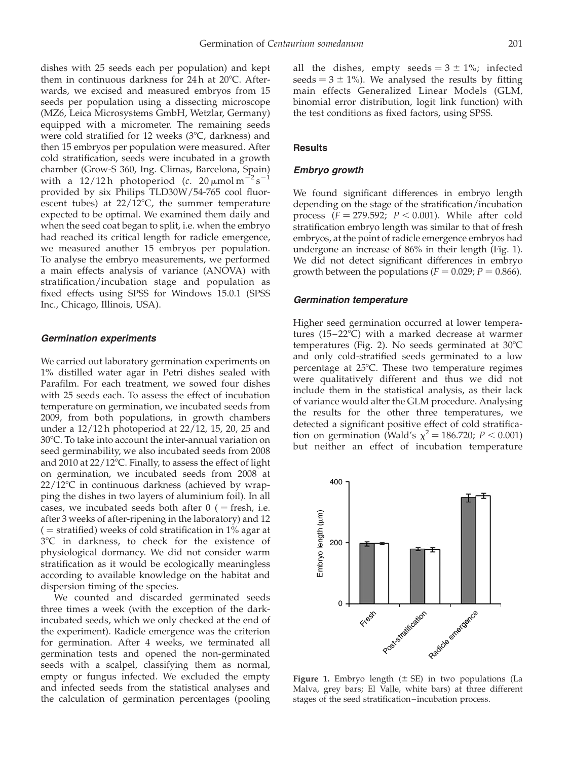dishes with 25 seeds each per population) and kept them in continuous darkness for  $24 h$  at  $20^{\circ}$ C. Afterwards, we excised and measured embryos from 15 seeds per population using a dissecting microscope (MZ6, Leica Microsystems GmbH, Wetzlar, Germany) equipped with a micrometer. The remaining seeds were cold stratified for 12 weeks  $(3^{\circ}C,$  darkness) and then 15 embryos per population were measured. After cold stratification, seeds were incubated in a growth chamber (Grow-S 360, Ing. Climas, Barcelona, Spain) with a 12/12h photoperiod (c. 20  $\mu$ mol m<sup>-2</sup> s<sup>-1</sup> provided by six Philips TLD30W/54-765 cool fluorescent tubes) at  $22/12^{\circ}$ C, the summer temperature expected to be optimal. We examined them daily and when the seed coat began to split, i.e. when the embryo had reached its critical length for radicle emergence, we measured another 15 embryos per population. To analyse the embryo measurements, we performed a main effects analysis of variance (ANOVA) with stratification/incubation stage and population as fixed effects using SPSS for Windows 15.0.1 (SPSS Inc., Chicago, Illinois, USA).

#### Germination experiments

We carried out laboratory germination experiments on 1% distilled water agar in Petri dishes sealed with Parafilm. For each treatment, we sowed four dishes with 25 seeds each. To assess the effect of incubation temperature on germination, we incubated seeds from 2009, from both populations, in growth chambers under a 12/12 h photoperiod at 22/12, 15, 20, 25 and 30°C. To take into account the inter-annual variation on seed germinability, we also incubated seeds from 2008 and 2010 at  $22/12$ °C. Finally, to assess the effect of light on germination, we incubated seeds from 2008 at  $22/12^{\circ}$ C in continuous darkness (achieved by wrapping the dishes in two layers of aluminium foil). In all cases, we incubated seeds both after  $0$  ( $=$  fresh, i.e. after 3 weeks of after-ripening in the laboratory) and 12  $($  = stratified) weeks of cold stratification in 1% agar at  $3^{\circ}$ C in darkness, to check for the existence of physiological dormancy. We did not consider warm stratification as it would be ecologically meaningless according to available knowledge on the habitat and dispersion timing of the species.

We counted and discarded germinated seeds three times a week (with the exception of the darkincubated seeds, which we only checked at the end of the experiment). Radicle emergence was the criterion for germination. After 4 weeks, we terminated all germination tests and opened the non-germinated seeds with a scalpel, classifying them as normal, empty or fungus infected. We excluded the empty and infected seeds from the statistical analyses and the calculation of germination percentages (pooling

all the dishes, empty seeds =  $3 \pm 1\%$ ; infected seeds =  $3 \pm 1$ %). We analysed the results by fitting main effects Generalized Linear Models (GLM, binomial error distribution, logit link function) with the test conditions as fixed factors, using SPSS.

#### **Results**

#### Embryo growth

We found significant differences in embryo length depending on the stage of the stratification/incubation process  $(F = 279.592; P < 0.001)$ . While after cold stratification embryo length was similar to that of fresh embryos, at the point of radicle emergence embryos had undergone an increase of 86% in their length (Fig. 1). We did not detect significant differences in embryo growth between the populations ( $F = 0.029$ ;  $P = 0.866$ ).

#### Germination temperature

Higher seed germination occurred at lower temperatures (15-22 $^{\circ}$ C) with a marked decrease at warmer temperatures [\(Fig. 2](#page-3-0)). No seeds germinated at  $30^{\circ}$ C and only cold-stratified seeds germinated to a low percentage at  $25^{\circ}$ C. These two temperature regimes were qualitatively different and thus we did not include them in the statistical analysis, as their lack of variance would alter the GLM procedure. Analysing the results for the other three temperatures, we detected a significant positive effect of cold stratification on germination (Wald's  $\chi^2 = 186.720$ ;  $P < 0.001$ ) but neither an effect of incubation temperature



Figure 1. Embryo length  $(\pm$  SE) in two populations (La Malva, grey bars; El Valle, white bars) at three different stages of the seed stratification–incubation process.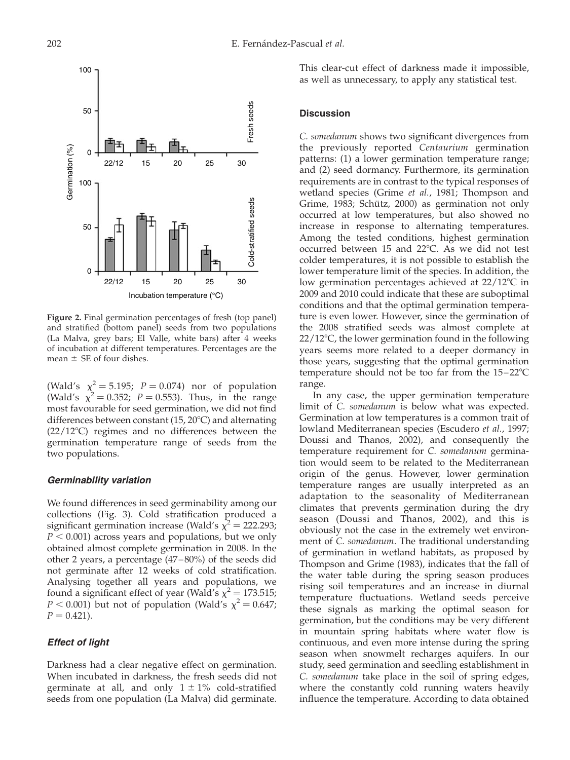<span id="page-3-0"></span>

Figure 2. Final germination percentages of fresh (top panel) and stratified (bottom panel) seeds from two populations (La Malva, grey bars; El Valle, white bars) after 4 weeks \_ of incubation at different temperatures. Percentages are the mean  $\pm$  SE of four dishes.

(Wald's  $\chi^2 = 5.195$ ;  $P = 0.074$ ) nor of population (Wald's  $\chi^2 = 0.352$ ;  $P = 0.553$ ). Thus, in the range most favourable for seed germination, we did not find differences between constant (15,  $20^{\circ}$ C) and alternating  $(22/12^{\circ}C)$  regimes and no differences between the germination temperature range of seeds from the two populations.

#### Germinability variation

We found differences in seed germinability among our collections [\(Fig. 3](#page-4-0)). Cold stratification produced a significant germination increase (Wald's  $\chi^2$  = 222.293;  $P < 0.001$ ) across years and populations, but we only obtained almost complete germination in 2008. In the other 2 years, a percentage (47–80%) of the seeds did not germinate after 12 weeks of cold stratification. Analysing together all years and populations, we found a significant effect of year (Wald's  $\chi^2 = 173.515$ ;  $P < 0.001$ ) but not of population (Wald's  $\chi^2 = 0.647$ ;  $P = 0.421$ .

#### Effect of light

Darkness had a clear negative effect on germination. When incubated in darkness, the fresh seeds did not germinate at all, and only  $1 \pm 1$ % cold-stratified seeds from one population (La Malva) did germinate.

This clear-cut effect of darkness made it impossible, as well as unnecessary, to apply any statistical test.

#### **Discussion**

C. somedanum shows two significant divergences from the previously reported Centaurium germination patterns: (1) a lower germination temperature range; and (2) seed dormancy. Furthermore, its germination requirements are in contrast to the typical responses of wetland species (Grime et al., 1981; Thompson and Grime, 1983; Schütz, 2000) as germination not only occurred at low temperatures, but also showed no increase in response to alternating temperatures. Among the tested conditions, highest germination occurred between 15 and 22 $°C$ . As we did not test colder temperatures, it is not possible to establish the lower temperature limit of the species. In addition, the low germination percentages achieved at  $22/12^{\circ}C$  in 2009 and 2010 could indicate that these are suboptimal conditions and that the optimal germination temperature is even lower. However, since the germination of the 2008 stratified seeds was almost complete at  $22/12^{\circ}$ C, the lower germination found in the following years seems more related to a deeper dormancy in those years, suggesting that the optimal germination temperature should not be too far from the  $15-22^{\circ}C$ range.

In any case, the upper germination temperature limit of C. somedanum is below what was expected. Germination at low temperatures is a common trait of lowland Mediterranean species (Escudero et al., 1997; Doussi and Thanos, 2002), and consequently the temperature requirement for C. somedanum germination would seem to be related to the Mediterranean origin of the genus. However, lower germination temperature ranges are usually interpreted as an adaptation to the seasonality of Mediterranean climates that prevents germination during the dry season (Doussi and Thanos, 2002), and this is obviously not the case in the extremely wet environment of C. *somedanum*. The traditional understanding of germination in wetland habitats, as proposed by Thompson and Grime (1983), indicates that the fall of the water table during the spring season produces rising soil temperatures and an increase in diurnal temperature fluctuations. Wetland seeds perceive these signals as marking the optimal season for germination, but the conditions may be very different in mountain spring habitats where water flow is continuous, and even more intense during the spring season when snowmelt recharges aquifers. In our study, seed germination and seedling establishment in C. somedanum take place in the soil of spring edges, where the constantly cold running waters heavily influence the temperature. According to data obtained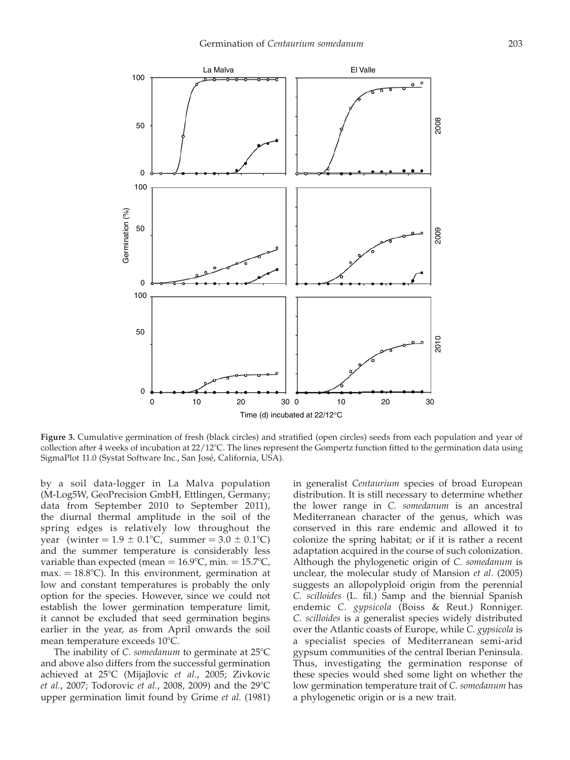<span id="page-4-0"></span>

Figure 3. Cumulative germination of fresh (black circles) and stratified (open circles) seeds from each population and year of collection after 4 weeks of incubation at  $22/12^{\circ}$ C. The lines represent the Gompertz function fitted to the germination data using SigmaPlot 11.0 (Systat Software Inc., San José, California, USA).

by a soil data-logger in La Malva population (M-Log5W, GeoPrecision GmbH, Ettlingen, Germany; data from September 2010 to September 2011), the diurnal thermal amplitude in the soil of the spring edges is relatively low throughout the year (winter =  $1.9 \pm 0.1^{\circ}C$ , summer =  $3.0 \pm 0.1^{\circ}C$ ) and the summer temperature is considerably less variable than expected (mean =  $16.9^{\circ}$ C, min. =  $15.7^{\circ}$ C,  $max. = 18.8^{\circ}$ C). In this environment, germination at low and constant temperatures is probably the only option for the species. However, since we could not establish the lower germination temperature limit, it cannot be excluded that seed germination begins earlier in the year, as from April onwards the soil mean temperature exceeds 10°C.

The inability of C. somedanum to germinate at  $25^{\circ}$ C and above also differs from the successful germination achieved at 25°C (Mijajlovic et al., 2005; Zivkovic et al., 2007; Todorovic et al., 2008, 2009) and the  $29^{\circ}C$ upper germination limit found by Grime et al. (1981) in generalist Centaurium species of broad European distribution. It is still necessary to determine whether the lower range in C. somedanum is an ancestral Mediterranean character of the genus, which was conserved in this rare endemic and allowed it to colonize the spring habitat; or if it is rather a recent adaptation acquired in the course of such colonization. Although the phylogenetic origin of C. somedanum is unclear, the molecular study of Mansion et al. (2005) suggests an allopolyploid origin from the perennial C. scilloides (L. fil.) Samp and the biennial Spanish endemic C. gypsicola (Boiss & Reut.) Ronniger. C. scilloides is a generalist species widely distributed over the Atlantic coasts of Europe, while C. gypsicola is a specialist species of Mediterranean semi-arid gypsum communities of the central Iberian Peninsula. Thus, investigating the germination response of these species would shed some light on whether the low germination temperature trait of C. somedanum has a phylogenetic origin or is a new trait.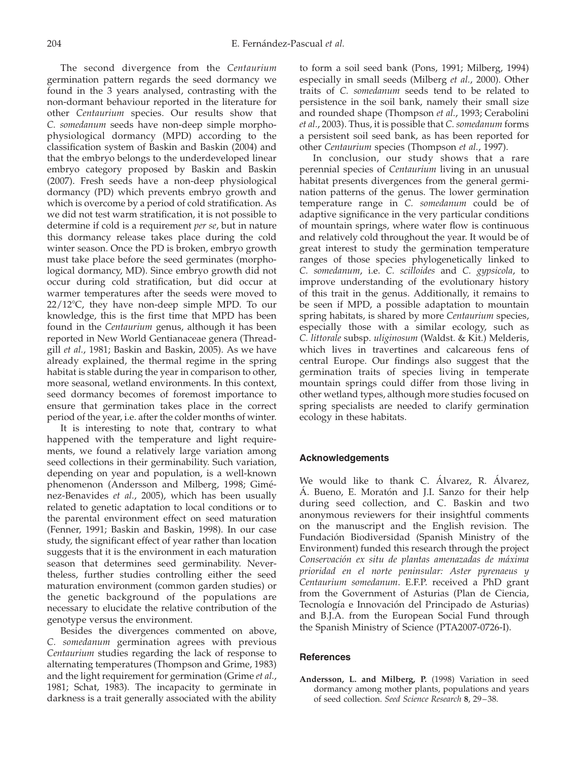The second divergence from the Centaurium germination pattern regards the seed dormancy we found in the 3 years analysed, contrasting with the non-dormant behaviour reported in the literature for other Centaurium species. Our results show that C. somedanum seeds have non-deep simple morphophysiological dormancy (MPD) according to the classification system of Baskin and Baskin (2004) and that the embryo belongs to the underdeveloped linear embryo category proposed by Baskin and Baskin (2007). Fresh seeds have a non-deep physiological dormancy (PD) which prevents embryo growth and which is overcome by a period of cold stratification. As we did not test warm stratification, it is not possible to determine if cold is a requirement per se, but in nature this dormancy release takes place during the cold winter season. Once the PD is broken, embryo growth must take place before the seed germinates (morphological dormancy, MD). Since embryo growth did not occur during cold stratification, but did occur at warmer temperatures after the seeds were moved to  $22/12^{\circ}$ C, they have non-deep simple MPD. To our knowledge, this is the first time that MPD has been found in the Centaurium genus, although it has been reported in New World Gentianaceae genera (Threadgill et al., 1981; Baskin and Baskin, 2005). As we have already explained, the thermal regime in the spring habitat is stable during the year in comparison to other, more seasonal, wetland environments. In this context, seed dormancy becomes of foremost importance to ensure that germination takes place in the correct period of the year, i.e. after the colder months of winter.

It is interesting to note that, contrary to what happened with the temperature and light requirements, we found a relatively large variation among seed collections in their germinability. Such variation, depending on year and population, is a well-known phenomenon (Andersson and Milberg, 1998; Giménez-Benavides et al., 2005), which has been usually related to genetic adaptation to local conditions or to the parental environment effect on seed maturation (Fenner, 1991; Baskin and Baskin, 1998). In our case study, the significant effect of year rather than location suggests that it is the environment in each maturation season that determines seed germinability. Nevertheless, further studies controlling either the seed maturation environment (common garden studies) or the genetic background of the populations are necessary to elucidate the relative contribution of the genotype versus the environment.

Besides the divergences commented on above, C. somedanum germination agrees with previous Centaurium studies regarding the lack of response to alternating temperatures (Thompson and Grime, 1983) and the light requirement for germination (Grime et al., 1981; Schat, 1983). The incapacity to germinate in darkness is a trait generally associated with the ability to form a soil seed bank (Pons, 1991; Milberg, 1994) especially in small seeds (Milberg et al., 2000). Other traits of C. somedanum seeds tend to be related to persistence in the soil bank, namely their small size and rounded shape (Thompson et al., 1993; Cerabolini et al., 2003). Thus, it is possible that C. somedanum forms a persistent soil seed bank, as has been reported for other Centaurium species (Thompson et al., 1997).

In conclusion, our study shows that a rare perennial species of Centaurium living in an unusual habitat presents divergences from the general germination patterns of the genus. The lower germination temperature range in C. somedanum could be of adaptive significance in the very particular conditions of mountain springs, where water flow is continuous and relatively cold throughout the year. It would be of great interest to study the germination temperature ranges of those species phylogenetically linked to C. somedanum, i.e. C. scilloides and C. gypsicola, to improve understanding of the evolutionary history of this trait in the genus. Additionally, it remains to be seen if MPD, a possible adaptation to mountain spring habitats, is shared by more Centaurium species, especially those with a similar ecology, such as C. littorale subsp. uliginosum (Waldst. & Kit.) Melderis, which lives in travertines and calcareous fens of central Europe. Our findings also suggest that the germination traits of species living in temperate mountain springs could differ from those living in other wetland types, although more studies focused on spring specialists are needed to clarify germination ecology in these habitats.

# Acknowledgements

We would like to thank C. Alvarez, R. Alvarez, A. Bueno, E. Moratón and J.I. Sanzo for their help during seed collection, and C. Baskin and two anonymous reviewers for their insightful comments on the manuscript and the English revision. The Fundación Biodiversidad (Spanish Ministry of the Environment) funded this research through the project Conservación ex situ de plantas amenazadas de máxima prioridad en el norte peninsular: Aster pyrenaeus y Centaurium somedanum. E.F.P. received a PhD grant from the Government of Asturias (Plan de Ciencia, Tecnología e Innovación del Principado de Asturias) and B.J.A. from the European Social Fund through the Spanish Ministry of Science (PTA2007-0726-I).

# **References**

Andersson, L. and Milberg, P. (1998) Variation in seed dormancy among mother plants, populations and years of seed collection. Seed Science Research 8, 29–38.